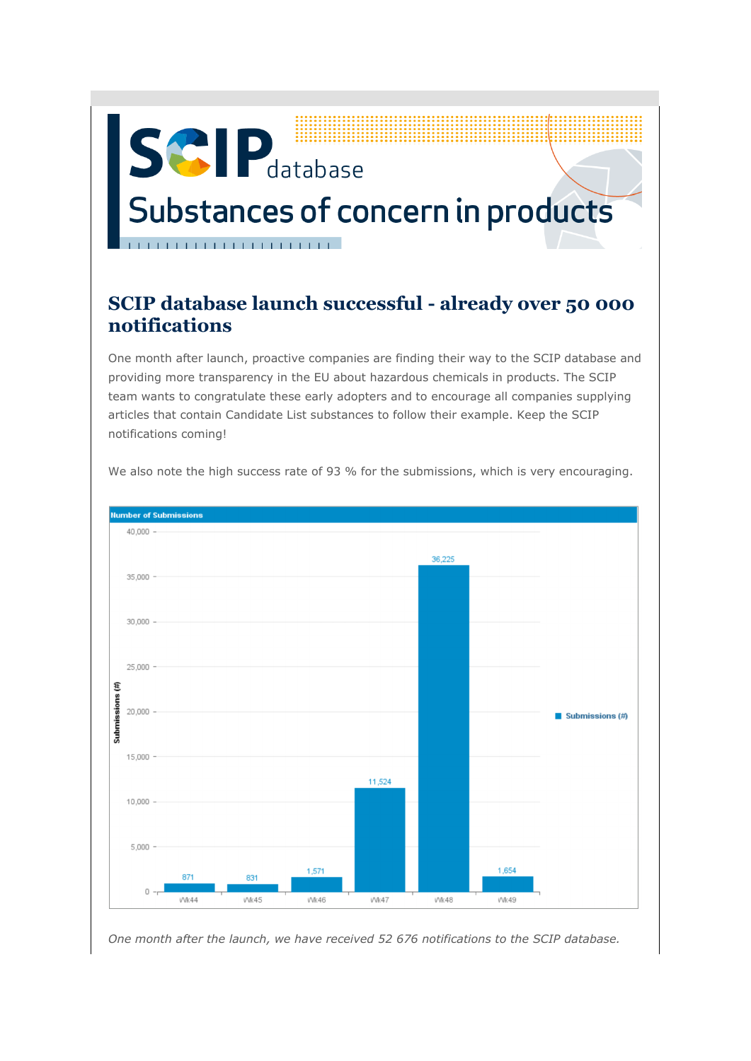## **SCIP** database Substances of concern in products

## **SCIP database launch successful - already over 50 000 notifications**

One month after launch, proactive companies are finding their way to the SCIP database and providing more transparency in the EU about hazardous chemicals in products. The SCIP team wants to congratulate these early adopters and to encourage all companies supplying articles that contain Candidate List substances to follow their example. Keep the SCIP notifications coming!



We also note the high success rate of 93 % for the submissions, which is very encouraging.

*One month after the launch, we have received 52 676 notifications to the SCIP database.*